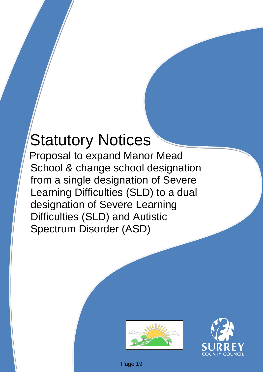# Statutory Notices

Proposal to expand Manor Mead School & change school designation from a single designation of Severe Learning Difficulties (SLD) to a dual designation of Severe Learning Difficulties (SLD) and Autistic Spectrum Disorder (ASD)





Page 19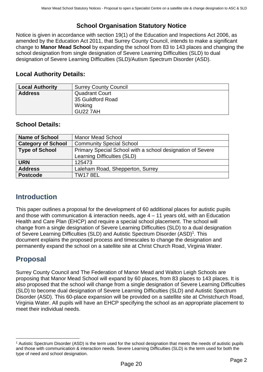# **School Organisation Statutory Notice**

Notice is given in accordance with section 19(1) of the Education and Inspections Act 2006, as amended by the Education Act 2011, that Surrey County Council, intends to make a significant change to **Manor Mead School** by expanding the school from 83 to 143 places and changing the school designation from single designation of Severe Learning Difficulties (SLD) to dual designation of Severe Learning Difficulties (SLD)/Autism Spectrum Disorder (ASD).

## **Local Authority Details:**

| <b>Local Authority</b> | <b>Surrey County Council</b> |
|------------------------|------------------------------|
| <b>Address</b>         | <b>Quadrant Court</b>        |
|                        | 35 Guildford Road            |
|                        | Woking                       |
|                        | <b>GU22 7AH</b>              |

## **School Details:**

| <b>Name of School</b>     | <b>Manor Mead School</b>                                   |
|---------------------------|------------------------------------------------------------|
| <b>Category of School</b> | <b>Community Special School</b>                            |
| <b>Type of School</b>     | Primary Special School with a school designation of Severe |
|                           | Learning Difficulties (SLD)                                |
| <b>URN</b>                | 125473                                                     |
| <b>Address</b>            | Laleham Road, Shepperton, Surrey                           |
| <b>Postcode</b>           | <b>TW17 8EL</b>                                            |

# **Introduction**

This paper outlines a proposal for the development of 60 additional places for autistic pupils and those with communication & interaction needs, age 4 – 11 years old, with an Education Health and Care Plan (EHCP) and require a special school placement. The school will change from a single designation of Severe Learning Difficulties (SLD) to a dual designation of Severe Learning Difficulties (SLD) and Autistic Spectrum Disorder (ASD)<sup>1</sup>. This document explains the proposed process and timescales to change the designation and permanently expand the school on a satellite site at Christ Church Road, Virginia Water.

# **Proposal**

Surrey County Council and The Federation of Manor Mead and Walton Leigh Schools are proposing that Manor Mead School will expand by 60 places, from 83 places to 143 places. It is also proposed that the school will change from a single designation of Severe Learning Difficulties (SLD) to become dual designation of Severe Learning Difficulties (SLD) and Autistic Spectrum Disorder (ASD). This 60-place expansion will be provided on a satellite site at Christchurch Road, Virginia Water. All pupils will have an EHCP specifying the school as an appropriate placement to meet their individual needs.

<sup>1</sup> Autistic Spectrum Disorder (ASD) is the term used for the school designation that meets the needs of autistic pupils and those with communication & interaction needs. Severe Learning Difficulties (SLD) is the term used for both the type of need and school designation.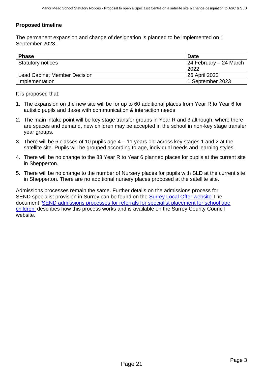#### **Proposed timeline**

The permanent expansion and change of designation is planned to be implemented on 1 September 2023.

| <b>Phase</b>                 | <b>Date</b>              |
|------------------------------|--------------------------|
| <b>Statutory notices</b>     | l 24 February – 24 March |
|                              | 2022                     |
| Lead Cabinet Member Decision | 26 April 2022            |
| Implementation               | 1 September 2023         |

It is proposed that:

- 1. The expansion on the new site will be for up to 60 additional places from Year R to Year 6 for autistic pupils and those with communication & interaction needs.
- 2. The main intake point will be key stage transfer groups in Year R and 3 although, where there are spaces and demand, new children may be accepted in the school in non-key stage transfer year groups.
- 3. There will be 6 classes of 10 pupils age 4 11 years old across key stages 1 and 2 at the satellite site. Pupils will be grouped according to age, individual needs and learning styles.
- 4. There will be no change to the 83 Year R to Year 6 planned places for pupils at the current site in Shepperton.
- 5. There will be no change to the number of Nursery places for pupils with SLD at the current site in Shepperton. There are no additional nursery places proposed at the satellite site.

Admissions processes remain the same. Further details on the admissions process for SEND specialist provision in Surrey can be found on the [Surrey Local Offer website](https://www.surreylocaloffer.org.uk/kb5/surrey/localoffer/advice.page?id=9TS_tpdTXU0) The document ['SEND admissions processes for referrals for specialist placement for school age](https://www.surreycc.gov.uk/__data/assets/pdf_file/0011/238934/Final-Pre-16-SEND-Admissions-Guidance_v2.0-002-1-accessible.pdf)  [children'](https://www.surreycc.gov.uk/__data/assets/pdf_file/0011/238934/Final-Pre-16-SEND-Admissions-Guidance_v2.0-002-1-accessible.pdf) describes how this process works and is available on the Surrey County Council website.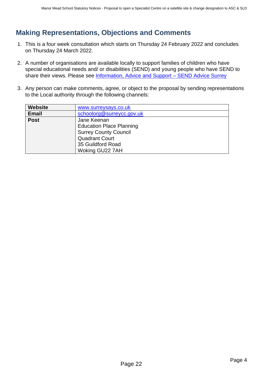# <span id="page-3-0"></span>**Making Representations, Objections and Comments**

- 1. This is a four week consultation which starts on Thursday 24 February 2022 and concludes on Thursday 24 March 2022.
- 2. A number of organisations are available locally to support families of children who have special educational needs and/ or disabilities (SEND) and young people who have SEND to share their views. Please see Information, Advice and Support - SEND Advice Surrey
- 3. Any person can make comments, agree, or object to the proposal by sending representations to the Local authority through the following channels:

| www.surreysays.co.uk            |  |  |  |  |  |
|---------------------------------|--|--|--|--|--|
| schoolorg@surreycc.gov.uk       |  |  |  |  |  |
| Jane Keenan                     |  |  |  |  |  |
| <b>Education Place Planning</b> |  |  |  |  |  |
| <b>Surrey County Council</b>    |  |  |  |  |  |
| <b>Quadrant Court</b>           |  |  |  |  |  |
| 35 Guildford Road               |  |  |  |  |  |
| Woking GU22 7AH                 |  |  |  |  |  |
|                                 |  |  |  |  |  |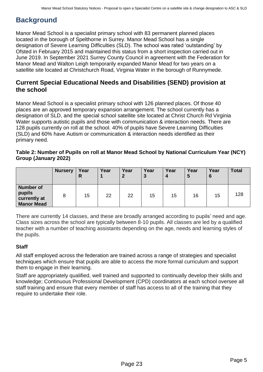# **Background**

Manor Mead School is a specialist primary school with 83 permanent planned places located in the borough of Spelthorne in Surrey. Manor Mead School has a single designation of Severe Learning Difficulties (SLD). The school was rated 'outstanding' by Ofsted in February 2015 and maintained this status from a short inspection carried out in June 2019. In September 2021 Surrey County Council in agreement with the Federation for Manor Mead and Walton Leigh temporarily expanded Manor Mead for two years on a satellite site located at Christchurch Road, Virginia Water in the borough of Runnymede.

## **Current Special Educational Needs and Disabilities (SEND) provision at the school**

Manor Mead School is a specialist primary school with 126 planned places. Of those 40 places are an approved temporary expansion arrangement. The school currently has a designation of SLD, and the special school satellite site located at Christ Church Rd Virginia Water supports autistic pupils and those with communication & interaction needs. There are 128 pupils currently on roll at the school. 40% of pupils have Severe Learning Difficulties (SLD) and 60% have Autism or communication & interaction needs identified as their primary need.

#### **Table 2: Number of Pupils on roll at Manor Mead School by National Curriculum Year (NCY) Group (January 2022)**

|                                                                 | <b>Nursery</b> | Year<br>R | Year | Year<br>$\mathbf{2}$ | Year<br>3 | Year<br>$\boldsymbol{4}$ | Year<br>5 | Year<br>6 | <b>Total</b> |
|-----------------------------------------------------------------|----------------|-----------|------|----------------------|-----------|--------------------------|-----------|-----------|--------------|
| <b>Number of</b><br>pupils<br>currently at<br><b>Manor Mead</b> |                | 15        | 22   | 22                   | 15        | 15                       | 16        | 15        | 128          |

There are currently 14 classes, and these are broadly arranged according to pupils' need and age. Class sizes across the school are typically between 8-10 pupils. All classes are led by a qualified teacher with a number of teaching assistants depending on the age, needs and learning styles of the pupils.

## **Staff**

All staff employed across the federation are trained across a range of strategies and specialist techniques which ensure that pupils are able to access the more formal curriculum and support them to engage in their learning.

Staff are appropriately qualified, well trained and supported to continually develop their skills and knowledge; Continuous Professional Development (CPD) coordinators at each school oversee all staff training and ensure that every member of staff has access to all of the training that they require to undertake their role.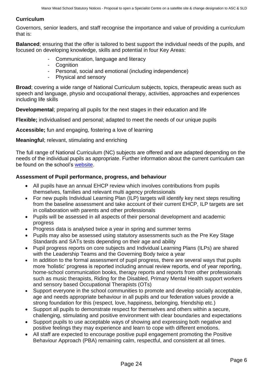#### **Curriculum**

Governors, senior leaders, and staff recognise the importance and value of providing a curriculum that is:

**Balanced**; ensuring that the offer is tailored to best support the individual needs of the pupils, and focused on developing knowledge, skills and potential in four Key Areas:

- Communication, language and literacy
- Cognition
- Personal, social and emotional (including independence)
- Physical and sensory

**Broad**; covering a wide range of National Curriculum subjects, topics, therapeutic areas such as speech and language, physio and occupational therapy, activities, approaches and experiences including life skills

**Developmental**; preparing all pupils for the next stages in their education and life

**Flexible;** individualised and personal; adapted to meet the needs of our unique pupils

**Accessible;** fun and engaging, fostering a love of learning

**Meaningful**; relevant, stimulating and enriching

The full range of National Curriculum (NC) subjects are offered and are adapted depending on the needs of the individual pupils as appropriate. Further information about the current curriculum can be found on the school's [website.](https://www.manor-mead.surrey.sch.uk/Curriculum-09032020093122/)

#### **Assessment of Pupil performance, progress, and behaviour**

- All pupils have an annual EHCP review which involves contributions from pupils themselves, families and relevant multi agency professionals
- For new pupils Individual Learning Plan (ILP) targets will identify key next steps resulting from the baseline assessment and take account of their current EHCP, ILP targets are set in collaboration with parents and other professionals
- Pupils will be assessed in all aspects of their personal development and academic progress
- Progress data is analysed twice a year in spring and summer terms
- Pupils may also be assessed using statutory assessments such as the Pre Key Stage Standards and SATs tests depending on their age and ability
- Pupil progress reports on core subjects and Individual Learning Plans (ILPs) are shared with the Leadership Teams and the Governing Body twice a year
- In addition to the formal assessment of pupil progress, there are several ways that pupils more 'holistic' progress is reported including annual review reports, end of year reporting, home-school communication books, therapy reports and reports from other professionals such as music therapists, Riding for the Disabled, Primary Mental Health support workers and sensory based Occupational Therapists (OTs)
- Support everyone in the school communities to promote and develop socially acceptable, age and needs appropriate behaviour in all pupils and our federation values provide a strong foundation for this (respect, love, happiness, belonging, friendship etc.)
- Support all pupils to demonstrate respect for themselves and others within a secure, challenging, stimulating and positive environment with clear boundaries and expectations
- Support pupils to use acceptable ways of showing and expressing both negative and positive feelings they may experience and learn to cope with different emotions.
- All staff are expected to encourage positive pupil engagement promoting the Positive Behaviour Approach (PBA) remaining calm, respectful, and consistent at all times.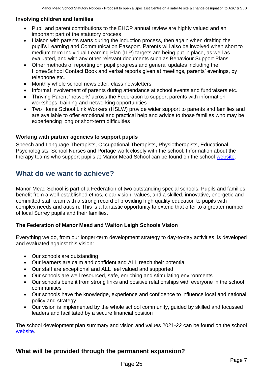#### **Involving children and families**

- Pupil and parent contributions to the EHCP annual review are highly valued and an important part of the statutory process
- Liaison with parents starts during the induction process, then again when drafting the pupil's Learning and Communication Passport. Parents will also be involved when short to medium term Individual Learning Plan (ILP) targets are being put in place, as well as evaluated, and with any other relevant documents such as Behaviour Support Plans
- Other methods of reporting on pupil progress and general updates including the Home/School Contact Book and verbal reports given at meetings, parents' evenings, by telephone etc.
- Monthly whole school newsletter, class newsletters
- Informal involvement of parents during attendance at school events and fundraisers etc.
- Thriving Parent 'network' across the Federation to support parents with information workshops, training and networking opportunities
- Two Home School Link Workers (HSLW) provide wider support to parents and families and are available to offer emotional and practical help and advice to those families who may be experiencing long or short-term difficulties

#### **Working with partner agencies to support pupils**

Speech and Language Therapists, Occupational Therapists, Physiotherapists, Educational Psychologists, School Nurses and Portage work closely with the school. Information about the therapy teams who support pupils at Manor Mead School can be found on the school [website.](https://www.manor-mead.surrey.sch.uk/Therapists/)

## **What do we want to achieve?**

Manor Mead School is part of a Federation of two outstanding special schools. Pupils and families benefit from a well-established ethos, clear vision, values, and a skilled, innovative, energetic and committed staff team with a strong record of providing high quality education to pupils with complex needs and autism. This is a fantastic opportunity to extend that offer to a greater number of local Surrey pupils and their families.

#### **The Federation of Manor Mead and Walton Leigh Schools Vision**

Everything we do, from our longer-term development strategy to day-to-day activities, is developed and evaluated against this vision:

- Our schools are outstanding
- Our learners are calm and confident and ALL reach their potential
- Our staff are exceptional and ALL feel valued and supported
- Our schools are well resourced, safe, enriching and stimulating environments
- Our schools benefit from strong links and positive relationships with everyone in the school communities
- Our schools have the knowledge, experience and confidence to influence local and national policy and strategy
- Our vision is implemented by the whole school community, guided by skilled and focussed leaders and facilitated by a secure financial position

The school development plan summary and vision and values 2021-22 can be found on the school [website.](https://www.manor-mead.surrey.sch.uk/Development-and-Self-Evaluation/)

## **What will be provided through the permanent expansion?**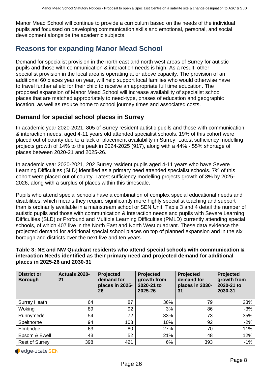Manor Mead School will continue to provide a curriculum based on the needs of the individual pupils and focussed on developing communication skills and emotional, personal, and social development alongside the academic subjects.

# **Reasons for expanding Manor Mead School**

Demand for specialist provision in the north east and north west areas of Surrey for autistic pupils and those with communication & interaction needs is high. As a result, other specialist provision in the local area is operating at or above capacity. The provision of an additional 60 places year on year, will help support local families who would otherwise have to travel further afield for their child to receive an appropriate full time education. The proposed expansion of Manor Mead School will increase availability of specialist school places that are matched appropriately to need-type, phases of education and geographic location, as well as reduce home to school journey times and associated costs.

### **Demand for special school places in Surrey**

In academic year 2020-2021, 805 of Surrey resident autistic pupils and those with communication & interaction needs, aged 4-11 years old attended specialist schools. 19% of this cohort were placed out of county due to a lack of placement availability in Surrey. Latest sufficiency modelling projects growth of 14% to the peak in 2024-2025 (917), along with a 44% - 55% shortage of places between 2020-21 and 2025-26.

In academic year 2020-2021, 202 Surrey resident pupils aged 4-11 years who have Severe Learning Difficulties (SLD) identified as a primary need attended specialist schools. 7% of this cohort were placed out of county. Latest sufficiency modelling projects growth of 3% by 2025- 2026, along with a surplus of places within this timescale.

Pupils who attend special schools have a combination of complex special educational needs and disabilities, which means they require significantly more highly specialist teaching and support than is ordinarily available in a mainstream school or SEN Unit. Table 3 and 4 detail the number of autistic pupils and those with communication & interaction needs and pupils with Severe Learning Difficulties (SLD) or Profound and Multiple Learning Difficulties (PMLD) currently attending special schools, of which 407 live in the North East and North West quadrant. These data evidence the projected demand for additional special school places on top of planned expansion and in the six borough and districts over the next five and ten years.

#### **Table 3: NE and NW Quadrant residents who attend special schools with communication & interaction Needs identified as their primary need and projected demand for additional places in 2025-26 and 2030-31**

| <b>District or</b><br><b>Borough</b> | Actuals 2020-<br>21 | Projected<br>demand for<br>places in 2025-<br>26 | Projected<br>growth from<br>2020-21 to<br>2025-26 | Projected<br>demand for<br>places in 2030-<br>31 | Projected<br>growth from<br>2020-21 to<br>2030-31 |
|--------------------------------------|---------------------|--------------------------------------------------|---------------------------------------------------|--------------------------------------------------|---------------------------------------------------|
| <b>Surrey Heath</b>                  | 64                  | 87                                               | 36%                                               | 79                                               | 23%                                               |
| Woking                               | 89                  | 92                                               | 3%                                                | 86                                               | $-3%$                                             |
| Runnymede                            | 54                  | 72                                               | 33%                                               | 73                                               | 35%                                               |
| Spelthorne                           | 94                  | 103                                              | 10%                                               | 92                                               | $-2%$                                             |
| Elmbridge                            | 63                  | 80                                               | 27%                                               | 70                                               | 11%                                               |
| Epsom & Ewell                        | 43                  | 52                                               | 21%                                               | 48                                               | 12%                                               |
| <b>Rest of Surrey</b>                | 398                 | 421                                              | 6%                                                | 393                                              | $-1%$                                             |

edge-ucate SEN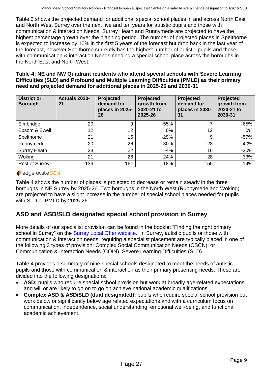Table 3 shows the projected demand for additional special school places in and across North East and North West Surrey over the next five and ten years for autistic pupils and those with communication & interaction Needs. Surrey Heath and Runnymede are projected to have the highest percentage growth over the planning period. The number of projected places in Spelthorne is expected to increase by 10% in the first 5 years of the forecast but drop back in the last year of the forecast, however Spelthorne currently has the highest number of autistic pupils and those with communication & interaction Needs needing a special school place across the boroughs in the North East and North West.

**Table 4: NE and NW Quadrant residents who attend special schools with Severe Learning Difficulties (SLD) and Profound and Multiple Learning Difficulties (PMLD) as their primary need and projected demand for additional places in 2025-26 and 2030-31**

| <b>District or</b><br><b>Borough</b> | Actuals 2020-<br>21 | Projected<br>demand for<br>places in 2025-<br>26 | Projected<br>growth from<br>2020-21 to<br>2025-26 | Projected<br>demand for<br>places in 2030-<br>31 | Projected<br>growth from<br>2020-21 to<br>2030-31 |
|--------------------------------------|---------------------|--------------------------------------------------|---------------------------------------------------|--------------------------------------------------|---------------------------------------------------|
| Elmbridge                            | 20                  | 9                                                | $-55%$                                            | 7                                                | $-65%$                                            |
| Epsom & Ewell                        | 12                  | 12                                               | 0%                                                | 12                                               | $0\%$                                             |
| Spelthorne                           | 21                  | 15                                               | $-29%$                                            | 9                                                | $-57%$                                            |
| Runnymede                            | 20                  | 26                                               | 30%                                               | 28                                               | 40%                                               |
| <b>Surrey Heath</b>                  | 23                  | 22                                               | $-4%$                                             | 16                                               | $-30%$                                            |
| Woking                               | 21                  | 26                                               | 24%                                               | 28                                               | 33%                                               |
| <b>Rest of Surrey</b>                | 136                 | 161                                              | 18%                                               | 155                                              | 14%                                               |

#### edge-ucate SEN

Table 4 shows the number of places is projected to decrease or remain steady in the three boroughs in NE Surrey by 2025-26. Two boroughs in the North West (Runnymede and Woking) are projected to have a slight increase in the number of special school places needed for pupils with SLD or PMLD by 2025-26.

## **ASD and ASD/SLD designated special school provision in Surrey**

More details of our specialist provision can be found in the booklet "Finding the right primary school in Surrey" on the [Surrey Local Offer website.](https://www.surreylocaloffer.org.uk/kb5/surrey/localoffer/advice.page?id=9TS_tpdTXU0) In Surrey, autistic pupils or those with communication & interaction needs, requiring a specialist placement are typically placed in one of the following 3 types of provision: Complex Social Communication Needs (CSCN); or Communication & Interaction Needs (COIN), Severe Learning Difficulties (SLD).

Table 4 provides a summary of nine special schools designated to meet the needs of autistic pupils and those with communication & interaction as their primary presenting needs. These are divided into the following designations:

- **ASD:** pupils who require special school provision but work at broadly age-related expectations and will or are likely to go on to go on achieve national academic qualifications.
- **Complex ASD & ASD/SLD (dual designated):** pupils who require special school provision but work below or significantly below age related expectations and with a curriculum focus on communication, independence, social understanding, emotional well-being, and functional academic achievement.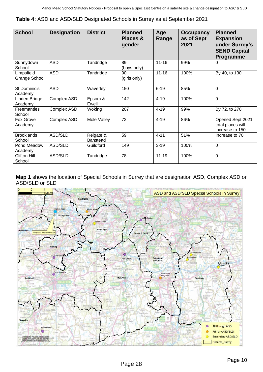**Table 4:** ASD and ASD/SLD Designated Schools in Surrey as at September 2021

| <b>School</b>               | <b>Designation</b> | <b>District</b>              | <b>Planned</b><br>Places &<br>gender | Age<br>Range | <b>Occupancy</b><br>as of Sept<br>2021 | <b>Planned</b><br><b>Expansion</b><br>under Surrey's<br><b>SEND Capital</b><br>Programme |
|-----------------------------|--------------------|------------------------------|--------------------------------------|--------------|----------------------------------------|------------------------------------------------------------------------------------------|
| Sunnydown<br>School         | <b>ASD</b>         | Tandridge                    | 89<br>(boys only)                    | $11 - 16$    | 99%                                    | 0                                                                                        |
| Limpsfield<br>Grange School | <b>ASD</b>         | Tandridge                    | 90<br>(girls only)                   | $11 - 16$    | 100%                                   | By 40, to 130                                                                            |
| St Dominic's<br>Academy     | <b>ASD</b>         | Waverley                     | 150                                  | $6 - 19$     | 85%                                    | 0                                                                                        |
| Linden Bridge<br>Academy    | Complex ASD        | Epsom &<br>Ewell             | 142                                  | $4 - 19$     | 100%                                   | $\mathbf 0$                                                                              |
| Freemantles<br>School       | Complex ASD        | Woking                       | 207                                  | $4 - 19$     | 99%                                    | By 72, to 270                                                                            |
| Fox Grove<br>Academy        | Complex ASD        | Mole Valley                  | 72                                   | $4 - 19$     | 86%                                    | Opened Sept 2021<br>total places will<br>increase to 150                                 |
| <b>Brooklands</b><br>School | ASD/SLD            | Reigate &<br><b>Banstead</b> | 59                                   | $4 - 11$     | 51%                                    | Increase to 70                                                                           |
| Pond Meadow<br>Academy      | ASD/SLD            | Guildford                    | 149                                  | $3 - 19$     | 100%                                   | $\mathbf 0$                                                                              |
| Clifton Hill<br>School      | ASD/SLD            | Tandridge                    | 78                                   | $11 - 19$    | 100%                                   | $\mathbf 0$                                                                              |

**Map 1** shows the location of Special Schools in Surrey that are designation ASD, Complex ASD or ASD/SLD or SLD

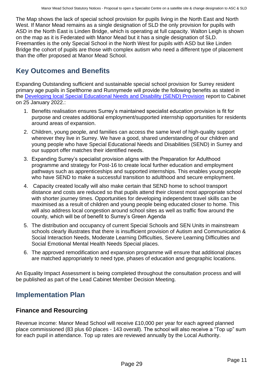The Map shows the lack of special school provision for pupils living in the North East and North West. If Manor Mead remains as a single designation of SLD the only provision for pupils with ASD in the North East is Linden Bridge, which is operating at full capacity. Walton Leigh is shown on the map as it is Federated with Manor Mead but it has a single designation of SLD. Freemantles is the only Special School in the North West for pupils with ASD but like Linden Bridge the cohort of pupils are those with complex autism who need a different type of placement than the offer proposed at Manor Mead School.

# **Key Outcomes and Benefits**

Expanding Outstanding sufficient and sustainable special school provision for Surrey resident primary age pupils in Spelthorne and Runnymede will provide the following benefits as stated in the [Developing local Special Educational Needs and Disability \(SEND\) Provision](https://mycouncil.surreycc.gov.uk/documents/s83813/Phase%204%20Developing%20local%20SEND%20Provision%20in%20Surrey%20to%20meet%20demand%20in%20202324%20onwards-%20final%20report.pdf) report to Cabinet on 25 January 2022.:

- 1. Benefits realisation ensures Surrey's maintained specialist education provision is fit for purpose and creates additional employment/supported internship opportunities for residents around areas of expansion.
- 2. Children, young people, and families can access the same level of high-quality support wherever they live in Surrey. We have a good, shared understanding of our children and young people who have Special Educational Needs and Disabilities (SEND) in Surrey and our support offer matches their identified needs.
- 3. Expanding Surrey's specialist provision aligns with the Preparation for Adulthood programme and strategy for Post-16 to create local further education and employment pathways such as apprenticeships and supported internships. This enables young people who have SEND to make a successful transition to adulthood and secure employment.
- 4. Capacity created locally will also make certain that SEND home to school transport distance and costs are reduced so that pupils attend their closest most appropriate school with shorter journey times. Opportunities for developing independent travel skills can be maximised as a result of children and young people being educated closer to home. This will also address local congestion around school sites as well as traffic flow around the county, which will be of benefit to Surrey's Green Agenda
- 5. The distribution and occupancy of current Special Schools and SEN Units in mainstream schools clearly illustrates that there is insufficient provision of Autism and Communication & Social Interaction Needs, Moderate Learning Difficulties, Severe Learning Difficulties and Social Emotional Mental Health Needs Special places.
- 6. The approved remodification and expansion programme will ensure that additional places are matched appropriately to need type, phases of education and geographic locations.

An Equality Impact Assessment is being completed throughout the consultation process and will be published as part of the Lead Cabinet Member Decision Meeting.

# **Implementation Plan**

## **Finance and Resourcing**

Revenue income: Manor Mead School will receive £10,000 per year for each agreed planned place commissioned (83 plus 60 places - 143 overall). The school will also receive a "Top up" sum for each pupil in attendance. Top up rates are reviewed annually by the Local Authority.